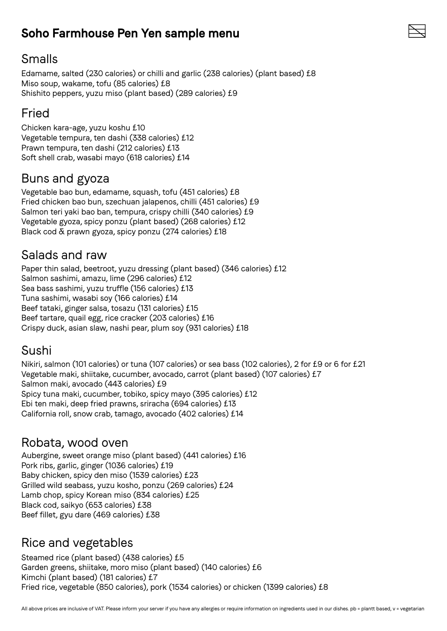# **Soho Farmhouse Pen Yen sample menu**

#### Smalls

Edamame, salted (230 calories) or chilli and garlic (238 calories) (plant based) £8 Miso soup, wakame, tofu (85 calories) £8 Shishito peppers, yuzu miso (plant based) (289 calories) £9

# Fried

Chicken kara-age, yuzu koshu £10 Vegetable tempura, ten dashi (338 calories) £12 Prawn tempura, ten dashi (212 calories) £13 Soft shell crab, wasabi mayo (618 calories) £14

#### Buns and gyoza

Vegetable bao bun, edamame, squash, tofu (451 calories) £8 Fried chicken bao bun, szechuan jalapenos, chilli (451 calories) £9 Salmon teri yaki bao ban, tempura, crispy chilli (340 calories) £9 Vegetable gyoza, spicy ponzu (plant based) (268 calories) £12 Black cod & prawn gyoza, spicy ponzu (274 calories) £18

#### Salads and raw

Paper thin salad, beetroot, yuzu dressing (plant based) (346 calories) £12 Salmon sashimi, amazu, lime (296 calories) £12 Sea bass sashimi, yuzu truffle (156 calories) £13 Tuna sashimi, wasabi soy (166 calories) £14 Beef tataki, ginger salsa, tosazu (131 calories) £15 Beef tartare, quail egg, rice cracker (203 calories) £16 Crispy duck, asian slaw, nashi pear, plum soy (931 calories) £18

#### Sushi

Nikiri, salmon (101 calories) or tuna (107 calories) or sea bass (102 calories), 2 for £9 or 6 for £21 Vegetable maki, shiitake, cucumber, avocado, carrot (plant based) (107 calories) £7 Salmon maki, avocado (443 calories) £9 Spicy tuna maki, cucumber, tobiko, spicy mayo (395 calories) £12 Ebi ten maki, deep fried prawns, sriracha (694 calories) £13 California roll, snow crab, tamago, avocado (402 calories) £14

#### Robata, wood oven

Aubergine, sweet orange miso (plant based) (441 calories) £16 Pork ribs, garlic, ginger (1036 calories) £19 Baby chicken, spicy den miso (1539 calories) £23 Grilled wild seabass, yuzu kosho, ponzu (269 calories) £24 Lamb chop, spicy Korean miso (834 calories) £25 Black cod, saikyo (653 calories) £38 Beef fillet, gyu dare (469 calories) £38

## Rice and vegetables

Steamed rice (plant based) (438 calories) £5 Garden greens, shiitake, moro miso (plant based) (140 calories) £6 Kimchi (plant based) (181 calories) £7 Fried rice, vegetable (850 calories), pork (1534 calories) or chicken (1399 calories) £8